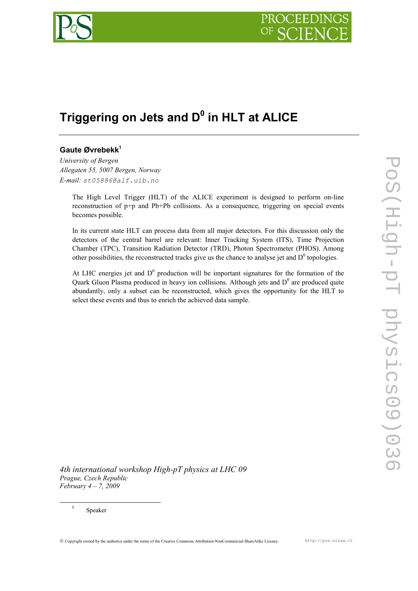

# **Triggering on Jets and D<sup>0</sup> in HLT at ALICE**

# **Gaute Øvrebekk<sup>1</sup>**

*University of Bergen Allegaten 55, 5007 Bergen, Norway E-mail: st05886@alf.uib.no* 

> The High Level Trigger (HLT) of the ALICE experiment is designed to perform on-line reconstruction of p+p and Pb+Pb collisions. As a consequence, triggering on special events becomes possible.

> In its current state HLT can process data from all major detectors. For this discussion only the detectors of the central barrel are relevant: Inner Tracking System (ITS), Time Projection Chamber (TPC), Transition Radiation Detector (TRD), Photon Spectrometer (PHOS). Among other possibilities, the reconstructed tracks give us the chance to analyse jet and  $D^0$  topologies.

> At LHC energies jet and  $D^0$  production will be important signatures for the formation of the Quark Gluon Plasma produced in heavy ion collisions. Although jets and  $D^0$  are produced quite abundantly, only a subset can be reconstructed, which gives the opportunity for the HLT to select these events and thus to enrich the achieved data sample.

*4th international workshop High-pT physics at LHC 09 Prague, Czech Republic February 4 – 7, 2009*

Speaker

-1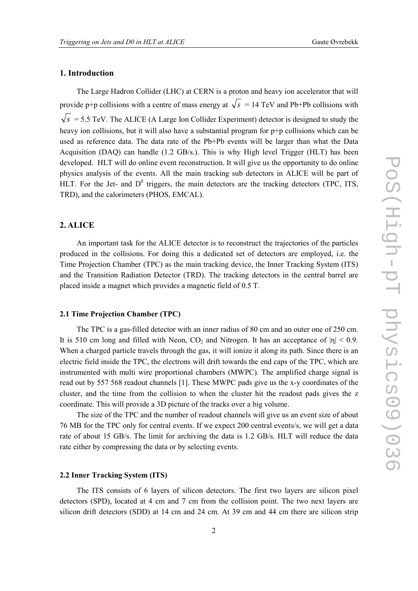#### **1. Introduction**

The Large Hadron Collider (LHC) at CERN is a proton and heavy ion accelerator that will provide p+p collisions with a centre of mass energy at  $\sqrt{s}$  = 14 TeV and Pb+Pb collisions with  $\sqrt{s}$  = 5.5 TeV. The ALICE (A Large Ion Collider Experiment) detector is designed to study the heavy ion collisions, but it will also have a substantial program for  $p+p$  collisions which can be used as reference data. The data rate of the Pb+Pb events will be larger than what the Data Acquisition (DAQ) can handle (1.2 GB/s.). This is why High level Trigger (HLT) has been developed. HLT will do online event reconstruction. It will give us the opportunity to do online physics analysis of the events. All the main tracking sub detectors in ALICE will be part of HLT. For the Jet- and  $D^0$  triggers, the main detectors are the tracking detectors (TPC, ITS, TRD), and the calorimeters (PHOS, EMCAL).

#### **2. ALICE**

An important task for the ALICE detector is to reconstruct the trajectories of the particles produced in the collisions. For doing this a dedicated set of detectors are employed, i.e. the Time Projection Chamber (TPC) as the main tracking device, the Inner Tracking System (ITS) and the Transition Radiation Detector (TRD). The tracking detectors in the central barrel are placed inside a magnet which provides a magnetic field of 0.5 T.

#### **2.1 Time Projection Chamber (TPC)**

The TPC is a gas-filled detector with an inner radius of 80 cm and an outer one of 250 cm. It is 510 cm long and filled with Neon, CO<sub>2</sub> and Nitrogen. It has an acceptance of  $|\eta|$  < 0.9. When a charged particle travels through the gas, it will ionize it along its path. Since there is an electric field inside the TPC, the electrons will drift towards the end caps of the TPC, which are instrumented with multi wire proportional chambers (MWPC). The amplified charge signal is read out by 557 568 readout channels [1]. These MWPC pads give us the x-y coordinates of the cluster, and the time from the collision to when the cluster hit the readout pads gives the z coordinate. This will provide a 3D picture of the tracks over a big volume.

The size of the TPC and the number of readout channels will give us an event size of about 76 MB for the TPC only for central events. If we expect 200 central events/s, we will get a data rate of about 15 GB/s. The limit for archiving the data is 1.2 GB/s. HLT will reduce the data rate either by compressing the data or by selecting events.

#### **2.2 Inner Tracking System (ITS)**

The ITS consists of 6 layers of silicon detectors. The first two layers are silicon pixel detectors (SPD), located at 4 cm and 7 cm from the collision point. The two next layers are silicon drift detectors (SDD) at 14 cm and 24 cm. At 39 cm and 44 cm there are silicon strip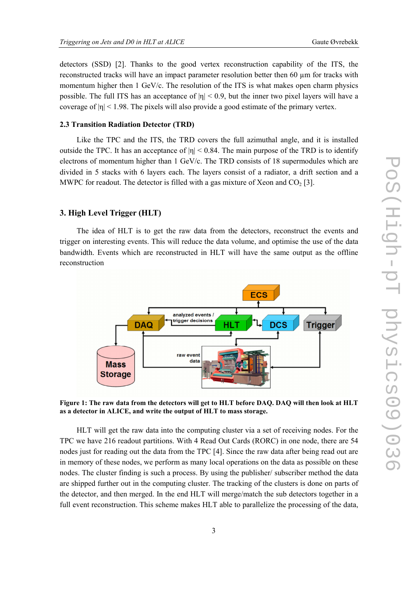detectors (SSD) [2]. Thanks to the good vertex reconstruction capability of the ITS, the reconstructed tracks will have an impact parameter resolution better then 60 µm for tracks with momentum higher then 1 GeV/c. The resolution of the ITS is what makes open charm physics possible. The full ITS has an acceptance of  $|n| < 0.9$ , but the inner two pixel layers will have a coverage of  $|n|$  < 1.98. The pixels will also provide a good estimate of the primary vertex.

#### **2.3 Transition Radiation Detector (TRD)**

Like the TPC and the ITS, the TRD covers the full azimuthal angle, and it is installed outside the TPC. It has an acceptance of  $|n| \le 0.84$ . The main purpose of the TRD is to identify electrons of momentum higher than 1 GeV/c. The TRD consists of 18 supermodules which are divided in 5 stacks with 6 layers each. The layers consist of a radiator, a drift section and a MWPC for readout. The detector is filled with a gas mixture of Xeon and  $CO<sub>2</sub>$  [3].

# **3. High Level Trigger (HLT)**

The idea of HLT is to get the raw data from the detectors, reconstruct the events and trigger on interesting events. This will reduce the data volume, and optimise the use of the data bandwidth. Events which are reconstructed in HLT will have the same output as the offline reconstruction



**Figure 1: The raw data from the detectors will get to HLT before DAQ. DAQ will then look at HLT as a detector in ALICE, and write the output of HLT to mass storage.** 

HLT will get the raw data into the computing cluster via a set of receiving nodes. For the TPC we have 216 readout partitions. With 4 Read Out Cards (RORC) in one node, there are 54 nodes just for reading out the data from the TPC [4]. Since the raw data after being read out are in memory of these nodes, we perform as many local operations on the data as possible on these nodes. The cluster finding is such a process. By using the publisher/ subscriber method the data are shipped further out in the computing cluster. The tracking of the clusters is done on parts of the detector, and then merged. In the end HLT will merge/match the sub detectors together in a full event reconstruction. This scheme makes HLT able to parallelize the processing of the data,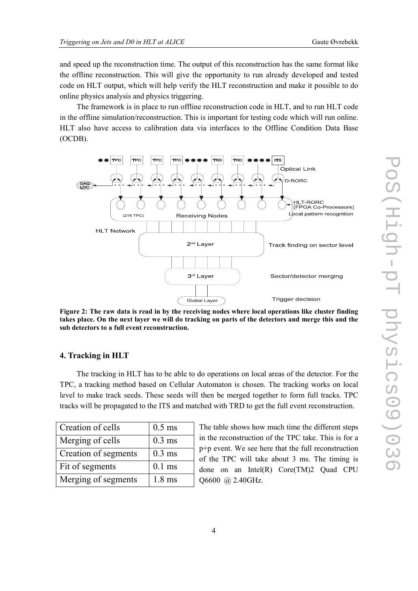and speed up the reconstruction time. The output of this reconstruction has the same format like the offline reconstruction. This will give the opportunity to run already developed and tested code on HLT output, which will help verify the HLT reconstruction and make it possible to do online physics analysis and physics triggering.

The framework is in place to run offline reconstruction code in HLT, and to run HLT code in the offline simulation/reconstruction. This is important for testing code which will run online. HLT also have access to calibration data via interfaces to the Offline Condition Data Base (OCDB).



**Figure 2: The raw data is read in by the receiving nodes where local operations like cluster finding takes place. On the next layer we will do tracking on parts of the detectors and merge this and the sub detectors to a full event reconstruction.** 

# **4. Tracking in HLT**

The tracking in HLT has to be able to do operations on local areas of the detector. For the TPC, a tracking method based on Cellular Automaton is chosen. The tracking works on local level to make track seeds. These seeds will then be merged together to form full tracks. TPC tracks will be propagated to the ITS and matched with TRD to get the full event reconstruction.

| Creation of cells    | $0.5$ ms         |
|----------------------|------------------|
| Merging of cells     | $0.3$ ms         |
| Creation of segments | $0.3$ ms         |
| Fit of segments      | $0.1$ ms         |
| Merging of segments  | $1.8 \text{ ms}$ |

The table shows how much time the different steps in the reconstruction of the TPC take. This is for a p+p event. We see here that the full reconstruction of the TPC will take about 3 ms. The timing is done on an Intel(R) Core(TM)2 Quad CPU Q6600 @ 2.40GHz.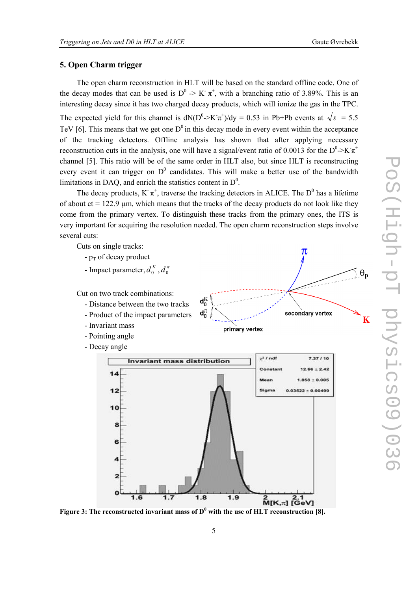$\theta_{\bf p}$ 

K

 $\pi$ 

# **5. Open Charm trigger**

The open charm reconstruction in HLT will be based on the standard offline code. One of the decay modes that can be used is  $D^0 > K^-\pi^+$ , with a branching ratio of 3.89%. This is an interesting decay since it has two charged decay products, which will ionize the gas in the TPC. The expected yield for this channel is  $dN(D^0 > K\pi^+) / dy = 0.53$  in Pb+Pb events at  $\sqrt{s} = 5.5$ TeV [6]. This means that we get one  $D^0$  in this decay mode in every event within the acceptance of the tracking detectors. Offline analysis has shown that after applying necessary reconstruction cuts in the analysis, one will have a signal/event ratio of 0.0013 for the  $D^0 > K \pi^+$ channel [5]. This ratio will be of the same order in HLT also, but since HLT is reconstructing every event it can trigger on  $D^0$  candidates. This will make a better use of the bandwidth limitations in DAQ, and enrich the statistics content in  $D^0$ .

The decay products, K  $\pi^+$ , traverse the tracking detectors in ALICE. The D<sup>0</sup> has a lifetime of about  $ct = 122.9$  µm, which means that the tracks of the decay products do not look like they come from the primary vertex. To distinguish these tracks from the primary ones, the ITS is very important for acquiring the resolution needed. The open charm reconstruction steps involve several cuts:

Cuts on single tracks:

- $-p<sub>T</sub>$  of decay product
- Impact parameter,  $d_0^K$  ,  $d_0^{\pi}$
- Cut on two track combinations: - Distance between the two tracks
	- Product of the impact parameters
	- Invariant mass
	- Pointing angle

 $14$ 

 $12$ 

10

R

6

 $\overline{z}$ 

 $1<sub>6</sub>$ 

- Decay angle



 $\frac{2}{M[K,\pi]} \frac{2.1}{[\text{GeV}]}$ Figure 3: The reconstructed invariant mass of  $D^0$  with the use of HLT reconstruction [8].

 $1.8$ 

 $1.9$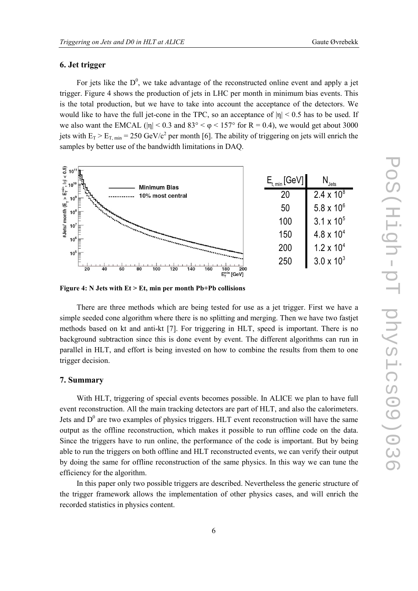# **6. Jet trigger**

For jets like the  $D^0$ , we take advantage of the reconstructed online event and apply a jet trigger. Figure 4 shows the production of jets in LHC per month in minimum bias events. This is the total production, but we have to take into account the acceptance of the detectors. We would like to have the full jet-cone in the TPC, so an acceptance of  $|\eta| < 0.5$  has to be used. If we also want the EMCAL ( $|\eta|$  < 0.3 and 83° <  $\varphi$  < 157° for R = 0.4), we would get about 3000 jets with  $E_T > E_{T, min} = 250 \text{ GeV}/c^2$  per month [6]. The ability of triggering on jets will enrich the samples by better use of the bandwidth limitations in DAQ.



**Figure 4: N Jets with Et > Et, min per month Pb+Pb collisions** 

There are three methods which are being tested for use as a jet trigger. First we have a simple seeded cone algorithm where there is no splitting and merging. Then we have two fastjet methods based on kt and anti-kt [7]. For triggering in HLT, speed is important. There is no background subtraction since this is done event by event. The different algorithms can run in parallel in HLT, and effort is being invested on how to combine the results from them to one trigger decision.

# **7. Summary**

With HLT, triggering of special events becomes possible. In ALICE we plan to have full event reconstruction. All the main tracking detectors are part of HLT, and also the calorimeters. Jets and  $D^0$  are two examples of physics triggers. HLT event reconstruction will have the same output as the offline reconstruction, which makes it possible to run offline code on the data. Since the triggers have to run online, the performance of the code is important. But by being able to run the triggers on both offline and HLT reconstructed events, we can verify their output by doing the same for offline reconstruction of the same physics. In this way we can tune the efficiency for the algorithm.

In this paper only two possible triggers are described. Nevertheless the generic structure of the trigger framework allows the implementation of other physics cases, and will enrich the recorded statistics in physics content.